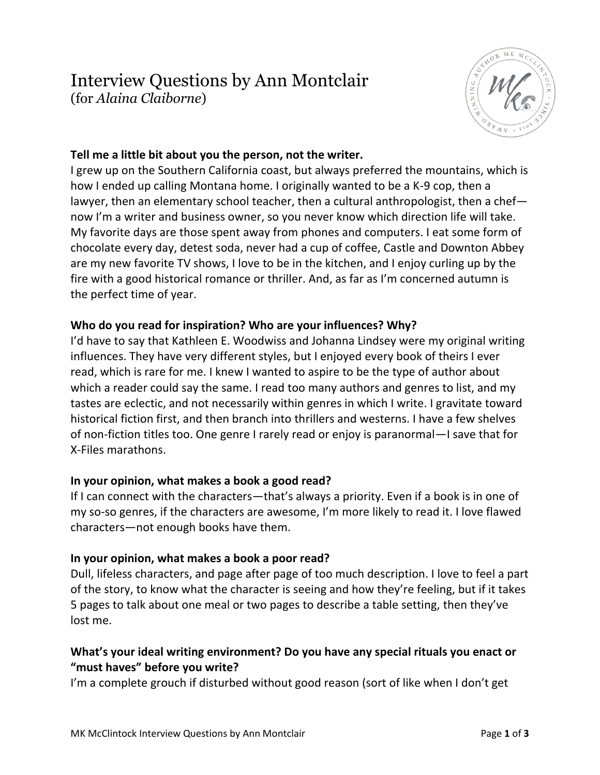## Interview Questions by Ann Montclair (for *Alaina Claiborne*)



## **Tell me a little bit about you the person, not the writer.**

I grew up on the Southern California coast, but always preferred the mountains, which is how I ended up calling Montana home. I originally wanted to be a K-9 cop, then a lawyer, then an elementary school teacher, then a cultural anthropologist, then a chef now I'm a writer and business owner, so you never know which direction life will take. My favorite days are those spent away from phones and computers. I eat some form of chocolate every day, detest soda, never had a cup of coffee, Castle and Downton Abbey are my new favorite TV shows, I love to be in the kitchen, and I enjoy curling up by the fire with a good historical romance or thriller. And, as far as I'm concerned autumn is the perfect time of year.

## **Who do you read for inspiration? Who are your influences? Why?**

I'd have to say that Kathleen E. Woodwiss and Johanna Lindsey were my original writing influences. They have very different styles, but I enjoyed every book of theirs I ever read, which is rare for me. I knew I wanted to aspire to be the type of author about which a reader could say the same. I read too many authors and genres to list, and my tastes are eclectic, and not necessarily within genres in which I write. I gravitate toward historical fiction first, and then branch into thrillers and westerns. I have a few shelves of non-fiction titles too. One genre I rarely read or enjoy is paranormal—I save that for X-Files marathons.

## **In your opinion, what makes a book a good read?**

If I can connect with the characters—that's always a priority. Even if a book is in one of my so-so genres, if the characters are awesome, I'm more likely to read it. I love flawed characters—not enough books have them.

#### **In your opinion, what makes a book a poor read?**

Dull, lifeless characters, and page after page of too much description. I love to feel a part of the story, to know what the character is seeing and how they're feeling, but if it takes 5 pages to talk about one meal or two pages to describe a table setting, then they've lost me.

## **What's your ideal writing environment? Do you have any special rituals you enact or "must haves" before you write?**

I'm a complete grouch if disturbed without good reason (sort of like when I don't get